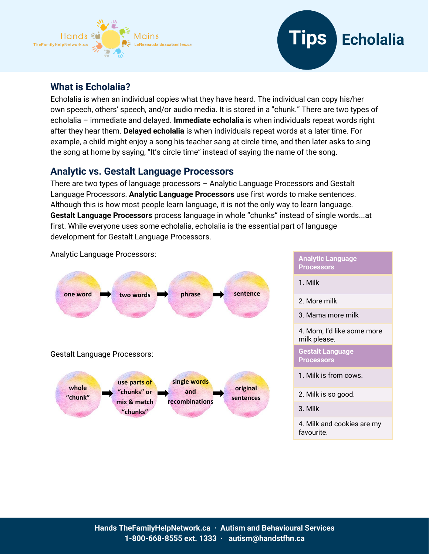



## **What is Echolalia?**

Analytic Language Processors:

Echolalia is when an individual copies what they have heard. The individual can copy his/her own speech, others' speech, and/or audio media. It is stored in a "chunk." There are two types of echolalia – immediate and delayed. **Immediate echolalia** is when individuals repeat words right after they hear them. **Delayed echolalia** is when individuals repeat words at a later time. For example, a child might enjoy a song his teacher sang at circle time, and then later asks to sing the song at home by saying, "It's circle time" instead of saying the name of the song.

# **Analytic vs. Gestalt Language Processors**

There are two types of language processors – Analytic Language Processors and Gestalt Language Processors. **Analytic Language Processors** use first words to make sentences. Although this is how most people learn language, it is not the only way to learn language. **Gestalt Language Processors** process language in whole "chunks" instead of single words...at first. While everyone uses some echolalia, echolalia is the essential part of language development for Gestalt Language Processors.



|                                            | <b>Analytic Language</b><br><b>Processors</b> |  |  |  |
|--------------------------------------------|-----------------------------------------------|--|--|--|
| 1. Milk                                    |                                               |  |  |  |
|                                            | 2. More milk                                  |  |  |  |
|                                            | 3. Mama more milk                             |  |  |  |
| 4. Mom, I'd like some more<br>milk please. |                                               |  |  |  |
|                                            | <b>Gestalt Language</b><br><b>Processors</b>  |  |  |  |
|                                            | 1. Milk is from cows.                         |  |  |  |
|                                            | 2. Milk is so good.                           |  |  |  |
| 3. Milk                                    |                                               |  |  |  |
| favourite.                                 | 4. Milk and cookies are my                    |  |  |  |